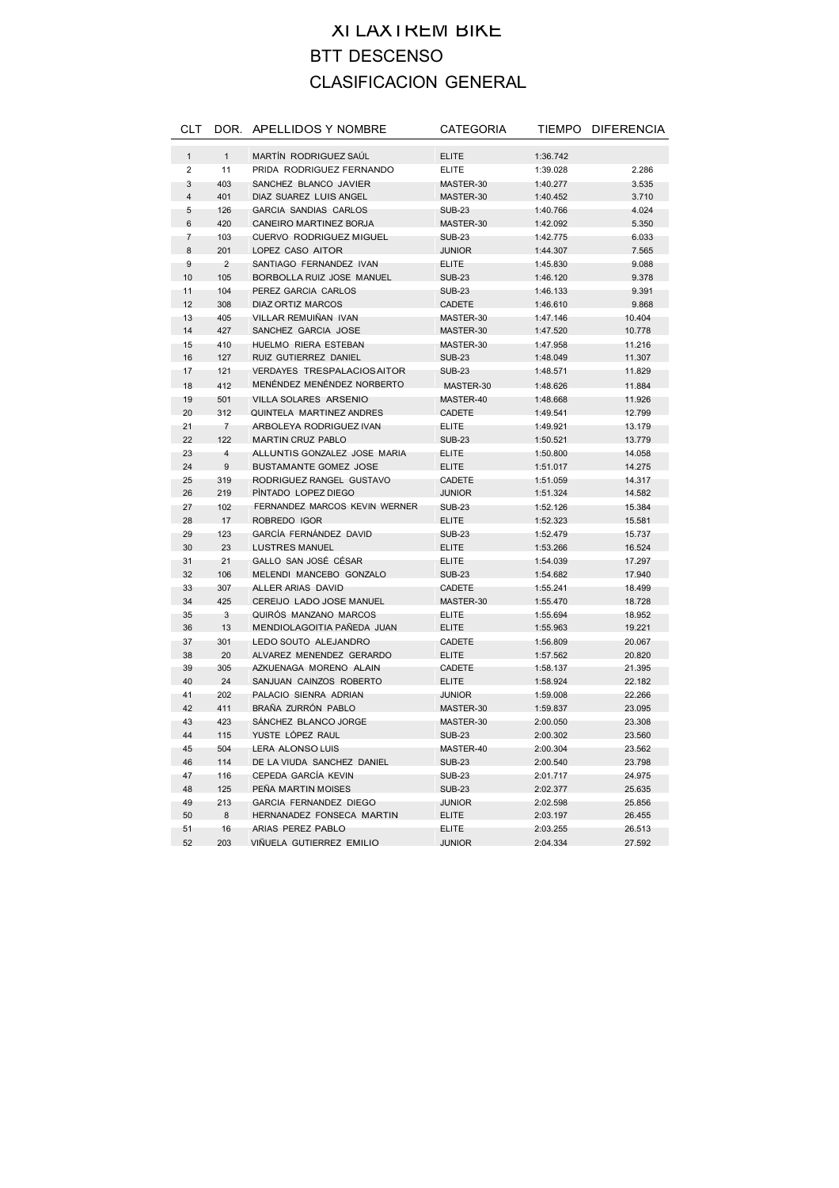## XI LAXTREM BIKE BTT DESCENSO CLASIFICACION GENERAL

| <b>CLT</b>     |                | DOR. APELLIDOS Y NOMBRE            | <b>CATEGORIA</b> |          | TIEMPO DIFERENCIA |
|----------------|----------------|------------------------------------|------------------|----------|-------------------|
| $\mathbf{1}$   | $\mathbf{1}$   | MARTÍN RODRIGUEZ SAÚL              | <b>ELITE</b>     | 1:36.742 |                   |
| $\overline{2}$ | 11             | PRIDA RODRIGUEZ FERNANDO           | <b>ELITE</b>     | 1:39.028 | 2.286             |
| 3              | 403            | SANCHEZ BLANCO JAVIER              | MASTER-30        | 1:40.277 | 3.535             |
| $\overline{4}$ | 401            | DIAZ SUAREZ LUIS ANGEL             | MASTER-30        | 1:40.452 | 3.710             |
| 5              | 126            | <b>GARCIA SANDIAS CARLOS</b>       | <b>SUB-23</b>    | 1:40.766 | 4.024             |
| $6\phantom{1}$ | 420            | CANEIRO MARTINEZ BORJA             | MASTER-30        | 1:42.092 | 5.350             |
| $\overline{7}$ | 103            | <b>CUERVO RODRIGUEZ MIGUEL</b>     | <b>SUB-23</b>    | 1:42.775 | 6.033             |
| 8              | 201            | LOPEZ CASO AITOR                   | <b>JUNIOR</b>    | 1:44.307 | 7.565             |
| 9              | $\overline{2}$ | SANTIAGO FERNANDEZ IVAN            | <b>ELITE</b>     | 1:45.830 | 9.088             |
| 10             | 105            | BORBOLLA RUIZ JOSE MANUEL          | <b>SUB-23</b>    | 1:46.120 | 9.378             |
| 11             | 104            | PEREZ GARCIA CARLOS                | <b>SUB-23</b>    | 1:46.133 | 9.391             |
| 12             | 308            | DIAZ ORTIZ MARCOS                  | CADETE           | 1:46.610 | 9.868             |
| 13             | 405            | VILLAR REMUIÑAN IVAN               | MASTER-30        | 1:47.146 | 10.404            |
| 14             | 427            | SANCHEZ GARCIA JOSE                | MASTER-30        | 1:47.520 | 10.778            |
| 15             | 410            | HUELMO RIERA ESTEBAN               | MASTER-30        | 1:47.958 | 11.216            |
| 16             | 127            | RUIZ GUTIERREZ DANIEL              | <b>SUB-23</b>    | 1:48.049 | 11.307            |
| 17             | 121            | <b>VERDAYES TRESPALACIOS AITOR</b> | <b>SUB-23</b>    | 1:48.571 | 11.829            |
| 18             | 412            | MENÉNDEZ MENÉNDEZ NORBERTO         | MASTER-30        | 1:48.626 | 11.884            |
| 19             | 501            | <b>VILLA SOLARES ARSENIO</b>       | MASTER-40        | 1:48.668 | 11.926            |
| 20             | 312            | QUINTELA MARTINEZ ANDRES           | CADETE           | 1:49.541 | 12.799            |
| 21             | 7              | ARBOLEYA RODRIGUEZ IVAN            | <b>ELITE</b>     | 1:49.921 | 13.179            |
| 22             | 122            | <b>MARTIN CRUZ PABLO</b>           | <b>SUB-23</b>    | 1:50.521 | 13.779            |
| 23             | 4              | ALLUNTIS GONZALEZ JOSE MARIA       | <b>ELITE</b>     | 1:50.800 | 14.058            |
| 24             | 9              | <b>BUSTAMANTE GOMEZ JOSE</b>       | <b>ELITE</b>     | 1:51.017 | 14.275            |
| 25             | 319            | RODRIGUEZ RANGEL GUSTAVO           | CADETE           | 1:51.059 | 14.317            |
| 26             | 219            | PINTADO LOPEZ DIEGO                | <b>JUNIOR</b>    | 1:51.324 | 14.582            |
| 27             | 102            | FERNANDEZ MARCOS KEVIN WERNER      | <b>SUB-23</b>    | 1:52.126 | 15.384            |
| 28             | 17             | ROBREDO IGOR                       | <b>ELITE</b>     | 1:52.323 | 15.581            |
| 29             | 123            | GARCÍA FERNÁNDEZ DAVID             | <b>SUB-23</b>    | 1:52.479 | 15.737            |
| 30             | 23             | <b>LUSTRES MANUEL</b>              | <b>ELITE</b>     | 1:53.266 | 16.524            |
| 31             | 21             | GALLO SAN JOSÉ CÉSAR               | <b>ELITE</b>     | 1:54.039 | 17.297            |
| 32             | 106            | MELENDI MANCEBO GONZALO            | <b>SUB-23</b>    | 1:54.682 | 17.940            |
| 33             | 307            | ALLER ARIAS DAVID                  | CADETE           | 1:55.241 | 18.499            |
| 34             | 425            | CEREIJO LADO JOSE MANUEL           | MASTER-30        | 1:55.470 | 18.728            |
| 35             | 3              | QUIROS MANZANO MARCOS              | ELITE            | 1:55.694 | 18.952            |
| 36             | 13             | MENDIOLAGOITIA PAÑEDA JUAN         | <b>ELITE</b>     | 1:55.963 | 19.221            |
| 37             | 301            | LEDO SOUTO ALEJANDRO               | CADETE           | 1:56.809 | 20.067            |
| 38             | 20             | ALVAREZ MENENDEZ GERARDO           | <b>ELITE</b>     | 1:57.562 | 20.820            |
| 39             | 305            | AZKUENAGA MORENO ALAIN             | CADETE           | 1:58.137 | 21.395            |
| 40             | 24             | SANJUAN CAINZOS ROBERTO            | <b>ELITE</b>     | 1:58.924 | 22.182            |
| 41             | 202            | PALACIO SIENRA ADRIAN              | <b>JUNIOR</b>    | 1:59.008 | 22.266            |
| 42             | 411            | BRAÑA ZURRÓN PABLO                 | MASTER-30        | 1:59.837 | 23.095            |
| 43             | 423            | SANCHEZ BLANCO JORGE               | MASTER-30        | 2:00.050 | 23.308            |
| 44             | 115            | YUSTE LÓPEZ RAUL                   | <b>SUB-23</b>    | 2:00.302 | 23.560            |
| 45             | 504            | <b>LERA ALONSO LUIS</b>            | MASTER-40        | 2:00.304 | 23.562            |
| 46             | 114            | DE LA VIUDA SANCHEZ DANIEL         | <b>SUB-23</b>    | 2:00.540 | 23.798            |
| 47             | 116            | CEPEDA GARCÍA KEVIN                | <b>SUB-23</b>    | 2:01.717 | 24.975            |
| 48             | 125            | PEÑA MARTIN MOISES                 | <b>SUB-23</b>    | 2:02.377 | 25.635            |
| 49             | 213            | GARCIA FERNANDEZ DIEGO             | <b>JUNIOR</b>    | 2:02.598 | 25.856            |
| 50             | 8              | HERNANADEZ FONSECA MARTIN          | <b>ELITE</b>     | 2:03.197 | 26.455            |
| 51             | 16             | ARIAS PEREZ PABLO                  | ELITE            | 2:03.255 | 26.513            |
| 52             | 203            | VIÑUELA GUTIERREZ EMILIO           | <b>JUNIOR</b>    | 2:04.334 | 27.592            |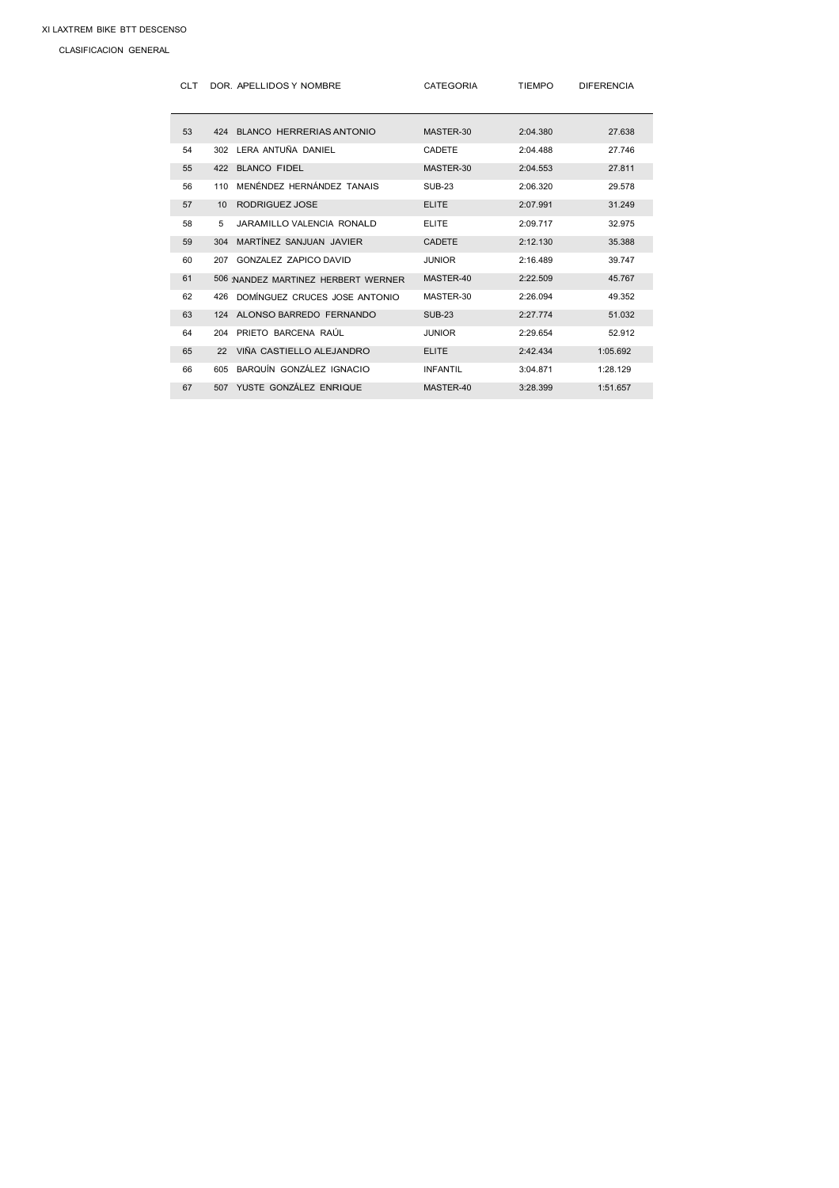CLASIFICACION GENERAL

| <b>CLT</b> |     | DOR. APELLIDOS Y NOMBRE            | <b>CATEGORIA</b> | <b>TIEMPO</b> | <b>DIFERENCIA</b> |
|------------|-----|------------------------------------|------------------|---------------|-------------------|
| 53         |     | 424 BLANCO HERRERIAS ANTONIO       | MASTER-30        | 2:04.380      | 27.638            |
| 54         | 302 | LERA ANTUÑA DANIEL                 | CADETE           | 2:04.488      | 27.746            |
| 55         | 422 | <b>BLANCO FIDEL</b>                | MASTER-30        | 2:04.553      | 27.811            |
| 56         | 110 | MENÉNDEZ HERNÁNDEZ TANAIS          | <b>SUB-23</b>    | 2:06.320      | 29.578            |
| 57         | 10  | RODRIGUEZ JOSE                     | <b>ELITE</b>     | 2:07.991      | 31.249            |
| 58         | 5   | JARAMILLO VALENCIA RONALD          | <b>ELITE</b>     | 2:09.717      | 32.975            |
| 59         | 304 | MARTÍNEZ SANJUAN JAVIER            | CADETE           | 2:12.130      | 35.388            |
| 60         | 207 | GONZALEZ ZAPICO DAVID              | <b>JUNIOR</b>    | 2:16.489      | 39.747            |
| 61         |     | 506 NANDEZ MARTINEZ HERBERT WERNER | MASTER-40        | 2:22.509      | 45.767            |
| 62         | 426 | DOMÍNGUEZ CRUCES JOSE ANTONIO      | MASTER-30        | 2:26.094      | 49.352            |
| 63         |     | 124 ALONSO BARREDO FERNANDO        | <b>SUB-23</b>    | 2:27.774      | 51.032            |
| 64         | 204 | PRIETO BARCENA RAÚL                | <b>JUNIOR</b>    | 2:29.654      | 52.912            |
| 65         | 22  | VIÑA CASTIELLO ALEJANDRO           | <b>ELITE</b>     | 2:42.434      | 1:05.692          |
| 66         | 605 | BAROUÍN GONZÁLEZ IGNACIO           | <b>INFANTIL</b>  | 3:04.871      | 1:28.129          |
| 67         | 507 | YUSTE GONZÁLEZ ENRIQUE             | MASTER-40        | 3:28.399      | 1:51.657          |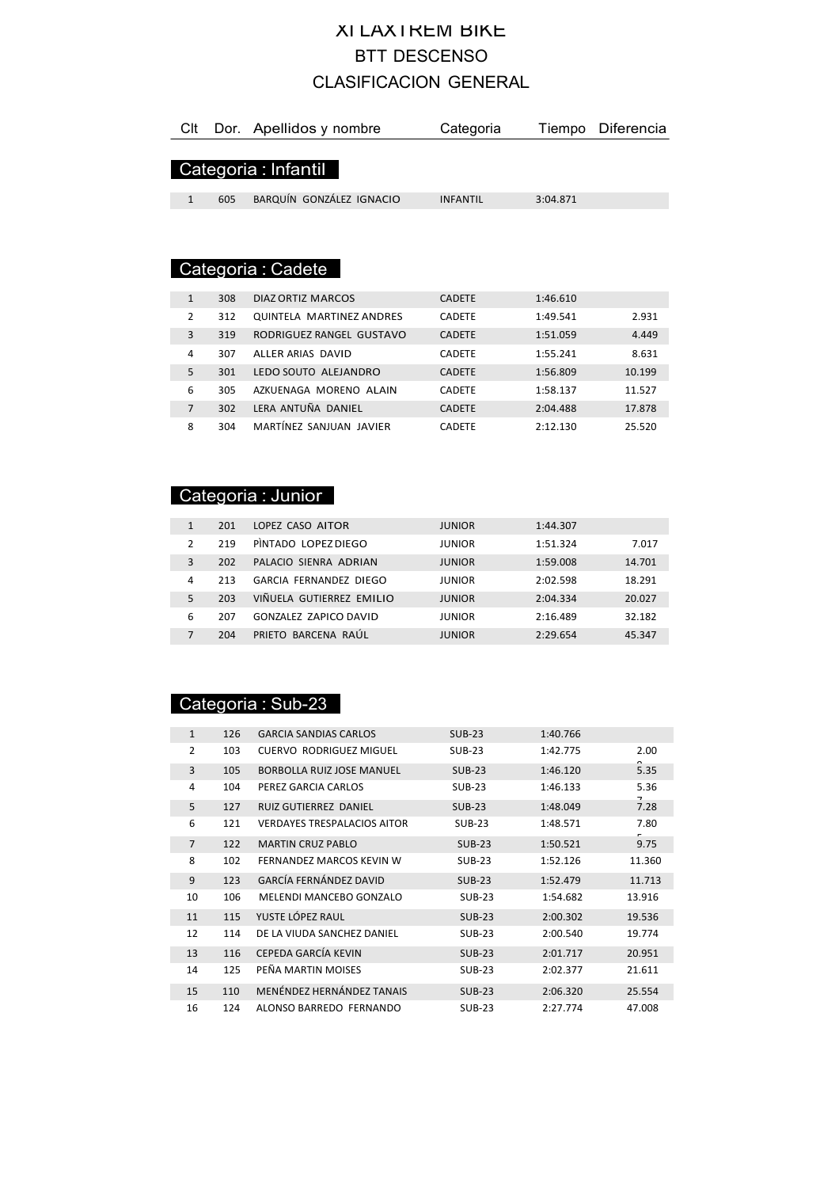### XI LAXTREM BIKE BTT DESCENSO CLASIFICACION GENERAL

| Clt            |     | Dor. Apellidos y nombre  | Categoria       | Tiempo   | Diferencia |
|----------------|-----|--------------------------|-----------------|----------|------------|
|                |     |                          |                 |          |            |
|                |     | Categoria : Infantil     |                 |          |            |
| $\mathbf{1}$   | 605 | BARQUÍN GONZÁLEZ IGNACIO | <b>INFANTIL</b> | 3:04.871 |            |
|                |     |                          |                 |          |            |
|                |     |                          |                 |          |            |
|                |     |                          |                 |          |            |
|                |     | Categoria : Cadete       |                 |          |            |
|                |     |                          |                 |          |            |
| $\mathbf{1}$   | 308 | DIAZ ORTIZ MARCOS        | <b>CADETE</b>   | 1:46.610 |            |
| $\mathcal{P}$  | 312 | QUINTELA MARTINEZ ANDRES | <b>CADETE</b>   | 1:49.541 | 2.931      |
| 3              | 319 | RODRIGUEZ RANGEL GUSTAVO | <b>CADETE</b>   | 1:51.059 | 4.449      |
| 4              | 307 | ALLER ARIAS DAVID        | CADETE          | 1:55.241 | 8.631      |
| 5              | 301 | LEDO SOUTO ALEJANDRO     | <b>CADETE</b>   | 1:56.809 | 10.199     |
| 6              | 305 | AZKUENAGA MORENO ALAIN   | CADETE          | 1:58.137 | 11.527     |
| $\overline{7}$ | 302 | LERA ANTUÑA DANIEL       | <b>CADETE</b>   | 2:04.488 | 17.878     |
| 8              | 304 | MARTÍNEZ SANJUAN JAVIER  | CADETE          | 2:12.130 | 25.520     |

### Categoria : Junior

|   | 201 | LOPEZ CASO AITOR             | <b>JUNIOR</b> | 1:44.307 |        |
|---|-----|------------------------------|---------------|----------|--------|
|   | 219 | PINTADO LOPEZ DIEGO          | <b>JUNIOR</b> | 1:51.324 | 7.017  |
| 3 | 202 | PALACIO SIENRA ADRIAN        | <b>JUNIOR</b> | 1:59.008 | 14.701 |
| 4 | 213 | GARCIA FERNANDEZ DIEGO       | <b>JUNIOR</b> | 2:02.598 | 18.291 |
|   | 203 | VIÑUELA GUTIERREZ EMILIO     | <b>JUNIOR</b> | 2:04.334 | 20.027 |
| 6 | 207 | <b>GONZALEZ ZAPICO DAVID</b> | <b>JUNIOR</b> | 2:16.489 | 32.182 |
|   | 204 | PRIETO BARCENA RAUL          | <b>JUNIOR</b> | 2:29.654 | 45.347 |

### Categoria : Sub-23

| $\mathbf{1}$   | 126 | <b>GARCIA SANDIAS CARLOS</b>       | $SUB-23$      | 1:40.766 |        |
|----------------|-----|------------------------------------|---------------|----------|--------|
| $\overline{2}$ | 103 | <b>CUERVO RODRIGUEZ MIGUEL</b>     | <b>SUB-23</b> | 1:42.775 | 2.00   |
| 3              | 105 | <b>BORBOLLA RUIZ JOSE MANUEL</b>   | $SUB-23$      | 1:46.120 | 5.35   |
| 4              | 104 | PEREZ GARCIA CARLOS                | <b>SUB-23</b> | 1:46.133 | 5.36   |
| 5              | 127 | RUIZ GUTIERREZ DANIEL              | $SUB-23$      | 1:48.049 | 7.28   |
| 6              | 121 | <b>VERDAYES TRESPALACIOS AITOR</b> | <b>SUB-23</b> | 1:48.571 | 7.80   |
| $\overline{7}$ | 122 | <b>MARTIN CRUZ PABLO</b>           | $SUB-23$      | 1:50.521 | 9.75   |
| 8              | 102 | FERNANDEZ MARCOS KEVIN W           | $SUB-23$      | 1:52.126 | 11.360 |
| 9              | 123 | GARCÍA FERNÁNDEZ DAVID             | $SUB-23$      | 1:52.479 | 11.713 |
| 10             | 106 | MELENDI MANCEBO GONZALO            | <b>SUB-23</b> | 1:54.682 | 13.916 |
| 11             | 115 | YUSTE LÓPEZ RAUL                   | $SUB-23$      | 2:00.302 | 19.536 |
| 12             | 114 | DE LA VIUDA SANCHEZ DANIEL         | <b>SUB-23</b> | 2:00.540 | 19.774 |
| 13             | 116 | CEPEDA GARCÍA KEVIN                | <b>SUB-23</b> | 2:01.717 | 20.951 |
| 14             | 125 | PEÑA MARTIN MOISES                 | <b>SUB-23</b> | 2:02.377 | 21.611 |
| 15             | 110 | MENÉNDEZ HERNÁNDEZ TANAIS          | <b>SUB-23</b> | 2:06.320 | 25.554 |
| 16             | 124 | ALONSO BARREDO FERNANDO            | <b>SUB-23</b> | 2:27.774 | 47.008 |